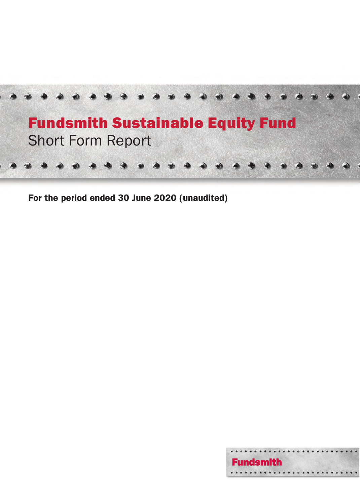

For the period ended 30 June 2020 (unaudited)

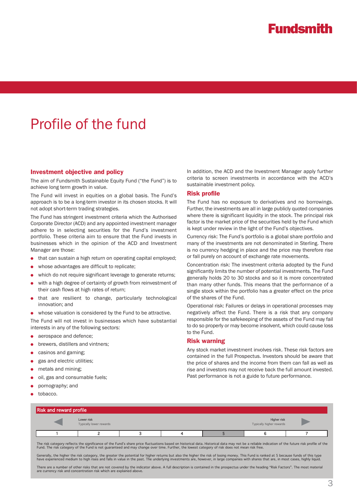# Profile of the fund

#### Investment objective and policy

The aim of Fundsmith Sustainable Equity Fund ("the Fund") is to achieve long term growth in value.

The Fund will invest in equities on a global basis. The Fund's approach is to be a long-term investor in its chosen stocks. It will not adopt short-term trading strategies.

The Fund has stringent investment criteria which the Authorised Corporate Director (ACD) and any appointed investment manager adhere to in selecting securities for the Fund's investment portfolio. These criteria aim to ensure that the Fund invests in businesses which in the opinion of the ACD and Investment Manager are those:

- that can sustain a high return on operating capital employed;
- whose advantages are difficult to replicate;
- which do not require significant leverage to generate returns;
- with a high degree of certainty of growth from reinvestment of their cash flows at high rates of return;
- that are resilient to change, particularly technological innovation; and
- whose valuation is considered by the Fund to be attractive.

The Fund will not invest in businesses which have substantial interests in any of the following sectors:

- aerospace and defence;
- brewers, distillers and vintners;
- casinos and gaming:
- gas and electric utilities;
- metals and mining;
- oil, gas and consumable fuels;
- pornography; and
- tobacco.

In addition, the ACD and the Investment Manager apply further criteria to screen investments in accordance with the ACD's sustainable investment policy.

#### Risk profile

The Fund has no exposure to derivatives and no borrowings. Further, the investments are all in large publicly quoted companies where there is significant liquidity in the stock. The principal risk factor is the market price of the securities held by the Fund which is kept under review in the light of the Fund's objectives.

Currency risk: The Fund's portfolio is a global share portfolio and many of the investments are not denominated in Sterling. There is no currency hedging in place and the price may therefore rise or fall purely on account of exchange rate movements.

Concentration risk: The investment criteria adopted by the Fund significantly limits the number of potential investments. The Fund generally holds 20 to 30 stocks and so it is more concentrated than many other funds. This means that the performance of a single stock within the portfolio has a greater effect on the price of the shares of the Fund.

Operational risk: Failures or delays in operational processes may negatively affect the Fund. There is a risk that any company responsible for the safekeeping of the assets of the Fund may fail to do so properly or may become insolvent, which could cause loss to the Fund.

#### Risk warning

Any stock market investment involves risk. These risk factors are contained in the full Prospectus. Investors should be aware that the price of shares and the income from them can fall as well as rise and investors may not receive back the full amount invested. Past performance is not a guide to future performance.

| <b>Risk and reward profile</b> |                                       |  |  |  |                                                |  |  |
|--------------------------------|---------------------------------------|--|--|--|------------------------------------------------|--|--|
|                                | Lower risk<br>Typically lower rewards |  |  |  | <b>Higher risk</b><br>Typically higher rewards |  |  |
|                                |                                       |  |  |  |                                                |  |  |

The risk category reflects the significance of the Fund's share price fluctuations based on historical data. Historical data may not be a reliable indication of the future risk profile of the Fund. The risk category of the Fund is not guaranteed and may change over time. Further, the lowest category of risk does not mean risk free.

Generally, the higher the risk category, the greater the potential for higher returns but also the higher the risk of losing money. This Fund is ranked at 5 because funds of this type<br>have experienced medium to high rises

There are a number of other risks that are not covered by the indicator above. A full description is contained in the prospectus under the heading "Risk Factors". The most material are currency risk and concentration risk which are explained above.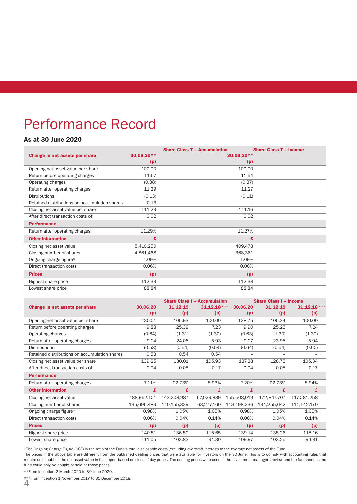# Performance Record

### As at 30 June 2020

|                                               |            | <b>Share Class T - Accumulation</b> | <b>Share Class T - Income</b> |
|-----------------------------------------------|------------|-------------------------------------|-------------------------------|
| Change in net assets per share                | 30.06.20** | $30.06.20**$                        |                               |
|                                               | (p)        | (p)                                 |                               |
| Opening net asset value per share             | 100.00     | 100.00                              |                               |
| Return before operating charges               | 11.67      | 11.64                               |                               |
| Operating charges                             | (0.38)     | (0.37)                              |                               |
| Return after operating charges                | 11.29      | 11.27                               |                               |
| <b>Distributions</b>                          | (0.13)     | (0.11)                              |                               |
| Retained distributions on accumulation shares | 0.13       |                                     | ۰                             |
| Closing net asset value per share             | 111.29     | 111.16                              |                               |
| After direct transaction costs of:            | 0.02       | 0.02                                |                               |
| <b>Performance</b>                            |            |                                     |                               |
| Return after operating charges                | 11.29%     | 11.27%                              |                               |
| <b>Other information</b>                      | £          |                                     | £                             |
| Closing net asset value                       | 5,410,250  | 409,478                             |                               |
| Closing number of shares                      | 4,861,468  | 368,361                             |                               |
| Ongoing charge figure*                        | 1.09%      | 1.09%                               |                               |
| Direct transaction costs                      | 0.06%      | 0.06%                               |                               |
| <b>Prices</b>                                 | (p)        | (p)                                 |                               |
| Highest share price                           | 112.39     | 112.38                              |                               |
| Lowest share price                            | 88.84      | 88.84                               |                               |

|                                               |             |             | <b>Share Class I - Accumulation</b> |                          | <b>Share Class I - Income</b> |               |
|-----------------------------------------------|-------------|-------------|-------------------------------------|--------------------------|-------------------------------|---------------|
| Change in net assets per share                | 30.06.20    | 31.12.19    | $31.12.18***$                       | 30.06.20                 | 31.12.19                      | $31.12.18***$ |
|                                               | (p)         | (p)         | (p)                                 | (p)                      | (p)                           | (p)           |
| Opening net asset value per share             | 130.01      | 105.93      | 100.00                              | 128.75                   | 105.34                        | 100.00        |
| Return before operating charges               | 9.88        | 25.39       | 7.23                                | 9.90                     | 25.25                         | 7.24          |
| Operating charges                             | (0.64)      | (1.31)      | (1.30)                              | (0.63)                   | (1.30)                        | (1.30)        |
| Return after operating charges                | 9.24        | 24.08       | 5.93                                | 9.27                     | 23.95                         | 5.94          |
| <b>Distributions</b>                          | (0.53)      | (0.54)      | (0.54)                              | (0.64)                   | (0.54)                        | (0.60)        |
| Retained distributions on accumulation shares | 0.53        | 0.54        | 0.54                                | $\overline{\phantom{a}}$ |                               |               |
| Closing net asset value per share             | 139.25      | 130.01      | 105.93                              | 137.38                   | 128.75                        | 105.34        |
| After direct transaction costs of:            | 0.04        | 0.05        | 0.17                                | 0.04                     | 0.05                          | 0.17          |
| <b>Performance</b>                            |             |             |                                     |                          |                               |               |
| Return after operating charges                | 7.11%       | 22.73%      | 5.93%                               | 7.20%                    | 22.73%                        | 5.94%         |
| <b>Other information</b>                      | £           | £           | £                                   | £                        | £                             | £             |
| Closing net asset value                       | 188,962,101 | 143,208,987 | 67,029,889                          | 155,508,019              | 172,847,707                   | 117,081,258   |
| Closing number of shares                      | 135,696,489 | 110,155,339 | 63,277,160                          | 113,198,236              | 134,255,642                   | 111,142,170   |
| Ongoing charge figure*                        | 0.98%       | 1.05%       | 1.05%                               | 0.98%                    | 1.05%                         | 1.05%         |
| Direct transaction costs                      | 0.06%       | 0.04%       | 0.14%                               | 0.06%                    | 0.04%                         | 0.14%         |
| <b>Prices</b>                                 | (p)         | (p)         | (p)                                 | (p)                      | (p)                           | (p)           |
| Highest share price                           | 140.51      | 136.52      | 115.65                              | 139.14                   | 135.26                        | 115.16        |
| Lowest share price                            | 111.05      | 103.83      | 94.30                               | 109.97                   | 103.25                        | 94.31         |

\*The Ongoing Charge Figure (OCF) is the ratio of the Fund's total disclosable costs (excluding overdraft interest) to the average net assets of the Fund.

The prices in the above table are different from the published dealing prices that were available for investors on the 30 June. This is to comply with accounting rules that require us to publish the net asset value in this report based on close of day prices. The dealing prices were used in the investment managers review and the factsheet as the fund could only be bought or sold at those prices.

\*\*From inception 2 March 2020 to 30 June 2020.

4 \*\*\*From inception 1 November 2017 to 31 December 2018.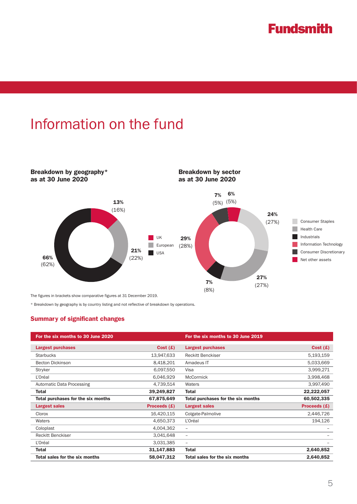# Information on the fund



The figures in brackets show comparative figures at 31 December 2019.

\* Breakdown by geography is by country listing and not reflective of breakdown by operations.

### Summary of significant changes

| For the six months to 30 June 2020 |                | For the six months to 30 June 2019 |              |
|------------------------------------|----------------|------------------------------------|--------------|
| <b>Largest purchases</b>           | Cost(E)        | <b>Largest purchases</b>           | Cost(f)      |
| <b>Starbucks</b>                   | 13,947,633     | <b>Reckitt Benckiser</b>           | 5,193,159    |
| <b>Becton Dickinson</b>            | 8,418,201      | Amadeus IT                         | 5,033,669    |
| Stryker                            | 6,097,550      | Visa                               | 3,999,271    |
| L'Oréal                            | 6,046,929      | <b>McCormick</b>                   | 3,998,468    |
| <b>Automatic Data Processing</b>   | 4,739,514      | Waters                             | 3,997,490    |
| Total                              | 39,249,827     | <b>Total</b>                       | 22,222,057   |
| Total purchases for the six months | 67,875,649     | Total purchases for the six months | 60,502,335   |
| <b>Largest sales</b>               | Proceeds $(E)$ | <b>Largest sales</b>               | Proceeds (£) |
| Clorox                             | 16,420,115     | Colgate-Palmolive                  | 2,446,726    |
| Waters                             | 4,650,373      | L'Oréal                            | 194,126      |
| Coloplast                          | 4,004,362      | $\overline{\phantom{m}}$           |              |
| <b>Reckitt Benckiser</b>           | 3,041,648      | $\overline{\phantom{m}}$           |              |
| L'Oréal                            | 3,031,385      | $\overline{\phantom{m}}$           |              |
| <b>Total</b>                       | 31,147,883     | <b>Total</b>                       | 2,640,852    |
| Total sales for the six months     | 58,047,312     | Total sales for the six months     | 2,640,852    |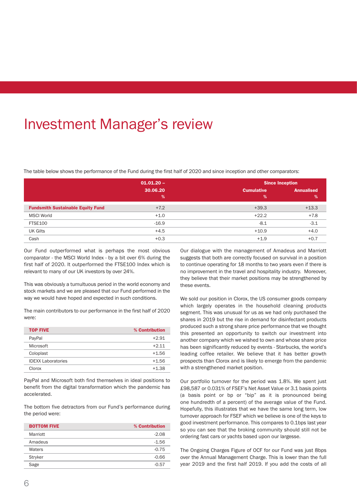# Investment Manager's review

The table below shows the performance of the Fund during the first half of 2020 and since inception and other comparators:

|                                          | $01.01.20 -$ |                   | <b>Since Inception</b> |  |  |
|------------------------------------------|--------------|-------------------|------------------------|--|--|
|                                          | 30.06.20     | <b>Cumulative</b> | <b>Annualised</b>      |  |  |
|                                          | %            | %                 | $\%$                   |  |  |
| <b>Fundsmith Sustainable Equity Fund</b> | $+7.2$       | $+39.3$           | $+13.3$                |  |  |
| <b>MSCI World</b>                        | $+1.0$       | $+22.2$           | $+7.8$                 |  |  |
| <b>FTSE100</b>                           | $-16.9$      | $-8.1$            | $-3.1$                 |  |  |
| <b>UK Gilts</b>                          | $+4.5$       | $+10.9$           | $+4.0$                 |  |  |
| Cash                                     | $+0.3$       | $+1.9$            | $+0.7$                 |  |  |

Our Fund outperformed what is perhaps the most obvious comparator - the MSCI World Index - by a bit over 6% during the first half of 2020. It outperformed the FTSE100 Index which is relevant to many of our UK investors by over 24%.

This was obviously a tumultuous period in the world economy and stock markets and we are pleased that our Fund performed in the way we would have hoped and expected in such conditions.

The main contributors to our performance in the first half of 2020 were:

| <b>TOP FIVE</b>           | % Contribution |
|---------------------------|----------------|
| PayPal                    | $+2.91$        |
| Microsoft                 | $+2.11$        |
| Coloplast                 | $+1.56$        |
| <b>IDEXX Laboratories</b> | $+1.56$        |
| Clorox                    | $+1.38$        |

PayPal and Microsoft both find themselves in ideal positions to benefit from the digital transformation which the pandemic has accelerated.

The bottom five detractors from our Fund's performance during the period were:

| <b>BOTTOM FIVE</b> | % Contribution |
|--------------------|----------------|
| Marriott           | $-2.08$        |
| Amadeus            | $-1.56$        |
| Waters             | $-0.75$        |
| Stryker            | $-0.66$        |
| Sage               | $-0.57$        |

Our dialogue with the management of Amadeus and Marriott suggests that both are correctly focused on survival in a position to continue operating for 18 months to two years even if there is no improvement in the travel and hospitality industry. Moreover, they believe that their market positions may be strengthened by these events.

We sold our position in Clorox, the US consumer goods company which largely operates in the household cleaning products segment. This was unusual for us as we had only purchased the shares in 2019 but the rise in demand for disinfectant products produced such a strong share price performance that we thought this presented an opportunity to switch our investment into another company which we wished to own and whose share price has been significantly reduced by events - Starbucks, the world's leading coffee retailer. We believe that it has better growth prospects than Clorox and is likely to emerge from the pandemic with a strengthened market position.

Our portfolio turnover for the period was 1.8%. We spent just £98,587 or 0.031% of FSEF's Net Asset Value or 3.1 basis points (a basis point or bp or "bip" as it is pronounced being one hundredth of a percent) of the average value of the Fund. Hopefully, this illustrates that we have the same long term, low turnover approach for FSEF which we believe is one of the keys to good investment performance. This compares to 0.1bps last year so you can see that the broking community should still not be ordering fast cars or yachts based upon our largesse.

The Ongoing Charges Figure of OCF for our Fund was just 8bps over the Annual Management Charge. This is lower than the full year 2019 and the first half 2019. If you add the costs of all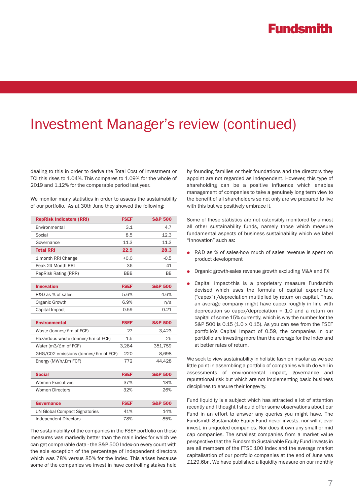## Investment Manager's review (continued)

dealing to this in order to derive the Total Cost of Investment or TCI this rises to 1.04%. This compares to 1.09% for the whole of 2019 and 1.12% for the comparable period last year.

We monitor many statistics in order to assess the sustainability of our portfolio. As at 30th June they showed the following:

| <b>RepRisk Indicators (RRI)</b>      | <b>FSEF</b> | <b>S&amp;P 500</b> |
|--------------------------------------|-------------|--------------------|
| Environmental                        | 3.1         | 4.7                |
| Social                               | 8.5         | 12.3               |
| Governance                           | 11.3        | 11.3               |
| <b>Total RRI</b>                     | 22.9        | 28.3               |
| 1 month RRI Change                   | $+0.0$      | $-0.5$             |
| Peak 24 Month RRI                    | 36          | 41                 |
| <b>RepRisk Rating (RRR)</b>          | <b>BBB</b>  | BB                 |
|                                      |             |                    |
| <b>Innovation</b>                    | <b>FSEF</b> | <b>S&amp;P 500</b> |
| R&D as % of sales                    | 5.6%        | 4.6%               |
| Organic Growth                       | 6.9%        | n/a                |
| Capital Impact                       | 0.59        | 0.21               |
|                                      |             |                    |
| <b>Environmental</b>                 | <b>FSEF</b> | <b>S&amp;P 500</b> |
|                                      |             |                    |
| Waste (tonnes/£m of FCF)             | 27          | 3,423              |
| Hazardous waste (tonnes/£m of FCF)   | 1.5         | 25                 |
| Water (m3/£m of FCF)                 | 3,284       | 351,759            |
| GHG/CO2 emissions (tonnes/£m of FCF) | 220         | 8,698              |
| Energy (MWh/£m FCF)                  | 772         | 44,428             |
|                                      |             |                    |
| <b>Social</b>                        | <b>FSEF</b> | <b>S&amp;P 500</b> |
| <b>Women Executives</b>              | 37%         | 18%                |
| <b>Women Directors</b>               | 32%         | 26%                |
|                                      |             |                    |
| <b>Governance</b>                    | <b>FSEF</b> | <b>S&amp;P 500</b> |
| <b>UN Global Compact Signatories</b> | 41%         | 14%                |
| <b>Independent Directors</b>         | 78%         | 85%                |

The sustainability of the companies in the FSEF portfolio on these measures was markedly better than the main index for which we can get comparable data - the S&P 500 Index-on every count with the sole exception of the percentage of independent directors which was 78% versus 85% for the Index. This arises because some of the companies we invest in have controlling stakes held

by founding families or their foundations and the directors they appoint are not regarded as independent. However, this type of shareholding can be a positive influence which enables management of companies to take a genuinely long term view to the benefit of all shareholders so not only are we prepared to live with this but we positively embrace it.

Some of these statistics are not ostensibly monitored by almost all other sustainability funds, namely those which measure fundamental aspects of business sustainability which we label "Innovation" such as:

- R&D as % of sales-how much of sales revenue is spent on product development
- Organic growth-sales revenue growth excluding M&A and FX
- Capital impact-this is a proprietary measure Fundsmith devised which uses the formula of capital expenditure ("capex") /depreciation multiplied by return on capital. Thus, an average company might have capex roughly in line with deprecation so capex/depreciation  $= 1.0$  and a return on capital of some 15% currently, which is why the number for the S&P 500 is 0.15 (1.0 x 0.15). As you can see from the FSEF portfolio's Capital Impact of 0.59, the companies in our portfolio are investing more than the average for the Index and at better rates of return.

We seek to view sustainability in holistic fashion insofar as we see little point in assembling a portfolio of companies which do well in assessments of environmental impact, governance and reputational risk but which are not implementing basic business disciplines to ensure their longevity.

Fund liquidity is a subject which has attracted a lot of attention recently and I thought I should offer some observations about our Fund in an effort to answer any queries you might have. The Fundsmith Sustainable Equity Fund never invests, nor will it ever invest, in unquoted companies. Nor does it own any small or mid cap companies. The smallest companies from a market value perspective that the Fundsmith Sustainable Equity Fund invests in are all members of the FTSE 100 Index and the average market capitalisation of our portfolio companies at the end of June was £129.6bn. We have published a liquidity measure on our monthly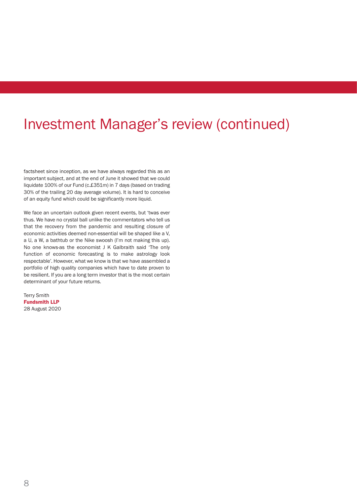# Investment Manager's review (continued)

factsheet since inception, as we have always regarded this as an important subject, and at the end of June it showed that we could liquidate 100% of our Fund (c.£351m) in 7 days (based on trading 30% of the trailing 20 day average volume). It is hard to conceive of an equity fund which could be significantly more liquid.

We face an uncertain outlook given recent events, but 'twas ever thus. We have no crystal ball unlike the commentators who tell us that the recovery from the pandemic and resulting closure of economic activities deemed non-essential will be shaped like a V, a U, a W, a bathtub or the Nike swoosh (I'm not making this up). No one knows-as the economist J K Galbraith said 'The only function of economic forecasting is to make astrology look respectable'. However, what we know is that we have assembled a portfolio of high quality companies which have to date proven to be resilient. If you are a long term investor that is the most certain determinant of your future returns.

Terry Smith Fundsmith LLP 28 August 2020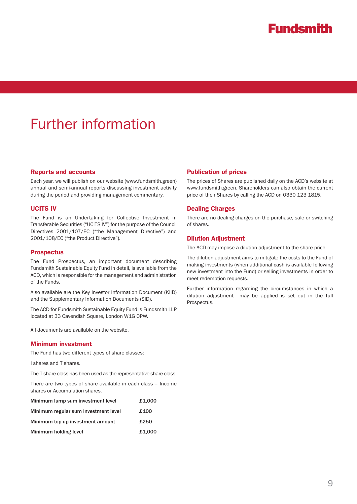# Further information

#### Reports and accounts

Each year, we will publish on our website (www.fundsmith.green) annual and semi-annual reports discussing investment activity during the period and providing management commentary.

#### UCITS IV

The Fund is an Undertaking for Collective Investment in Transferable Securities ("UCITS IV") for the purpose of the Council Directives 2001/107/EC ("the Management Directive") and 2001/108/EC ("the Product Directive").

#### **Prospectus**

The Fund Prospectus, an important document describing Fundsmith Sustainable Equity Fund in detail, is available from the ACD, which is responsible for the management and administration of the Funds.

Also available are the Key Investor Information Document (KIID) and the Supplementary Information Documents (SID).

The ACD for Fundsmith Sustainable Equity Fund is Fundsmith LLP located at 33 Cavendish Square, London W1G 0PW.

All documents are available on the website.

#### Minimum investment

The Fund has two different types of share classes:

I shares and T shares.

The T share class has been used as the representative share class.

There are two types of share available in each class – Income shares or Accumulation shares.

| Minimum lump sum investment level    | £1,000 |
|--------------------------------------|--------|
| Minimum regular sum investment level | £100   |
| Minimum top-up investment amount     | £250   |
| Minimum holding level                | £1,000 |

#### Publication of prices

The prices of Shares are published daily on the ACD's website at www.fundsmith.green. Shareholders can also obtain the current price of their Shares by calling the ACD on 0330 123 1815.

#### Dealing Charges

There are no dealing charges on the purchase, sale or switching of shares.

#### Dilution Adjustment

The ACD may impose a dilution adjustment to the share price.

The dilution adjustment aims to mitigate the costs to the Fund of making investments (when additional cash is available following new investment into the Fund) or selling investments in order to meet redemption requests.

Further information regarding the circumstances in which a dilution adjustment may be applied is set out in the full Prospectus.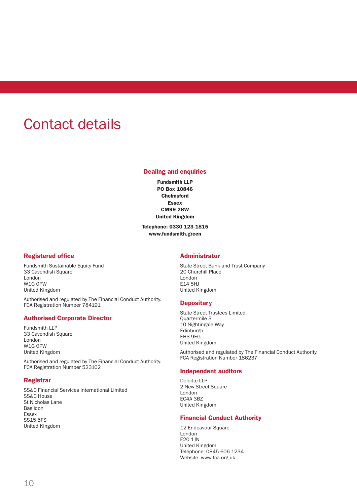# Contact details

### Dealing and enquiries

Fundsmith LLP PO Box 10846 **Chelmsford** Essex CM99 2BW United Kingdom

Telephone: 0330 123 1815 www.fundsmith.green

#### Registered office

Fundsmith Sustainable Equity Fund 33 Cavendish Square London W1G 0PW United Kingdom

Authorised and regulated by The Financial Conduct Authority. FCA Registration Number 784191

### Authorised Corporate Director

Fundsmith LLP 33 Cavendish Square London W1G 0PW United Kingdom

Authorised and regulated by The Financial Conduct Authority. FCA Registration Number 523102

#### Registrar

SS&C Financial Services International Limited SS&C House St Nicholas Lane Basildon Essex SS15 5FS United Kingdom

### Administrator

State Street Bank and Trust Company 20 Churchill Place London E14 5HJ United Kingdom

#### **Depositary**

State Street Trustees Limited Quartermile 3 10 Nightingale Way Edinburgh EH3 9EG United Kingdom

Authorised and regulated by The Financial Conduct Authority. FCA Registration Number 186237

#### Independent auditors

Deloitte LLP 2 New Street Square London EC4A 3BZ United Kingdom

### Financial Conduct Authority

12 Endeavour Square London E20 1JN United Kingdom Telephone: 0845 606 1234 Website: www.fca.org.uk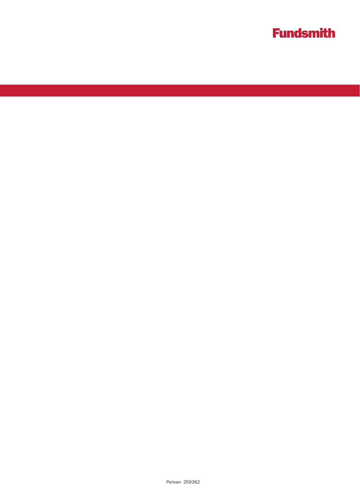